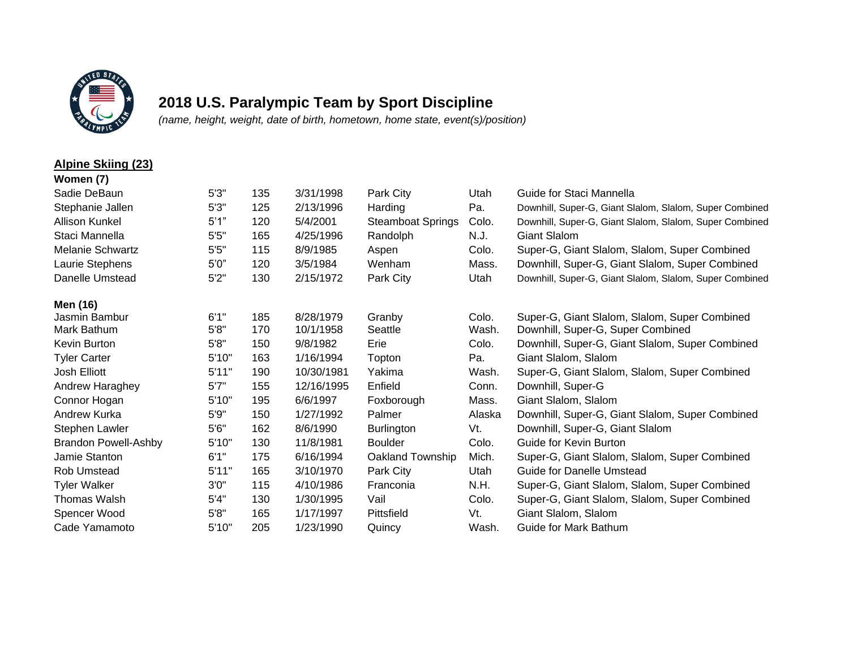

## **2018 U.S. Paralympic Team by Sport Discipline**

*(name, height, weight, date of birth, hometown, home state, event(s)/position)*

## **Alpine Skiing (23)**

| Women (7)                   |       |     |            |                          |        |                                                         |
|-----------------------------|-------|-----|------------|--------------------------|--------|---------------------------------------------------------|
| Sadie DeBaun                | 5'3'' | 135 | 3/31/1998  | Park City                | Utah   | Guide for Staci Mannella                                |
| Stephanie Jallen            | 5'3'' | 125 | 2/13/1996  | Harding                  | Pa.    | Downhill, Super-G, Giant Slalom, Slalom, Super Combined |
| <b>Allison Kunkel</b>       | 5'1"  | 120 | 5/4/2001   | <b>Steamboat Springs</b> | Colo.  | Downhill, Super-G, Giant Slalom, Slalom, Super Combined |
| Staci Mannella              | 5'5'' | 165 | 4/25/1996  | Randolph                 | N.J.   | <b>Giant Slalom</b>                                     |
| <b>Melanie Schwartz</b>     | 5'5'' | 115 | 8/9/1985   | Aspen                    | Colo.  | Super-G, Giant Slalom, Slalom, Super Combined           |
| Laurie Stephens             | 5'0'' | 120 | 3/5/1984   | Wenham                   | Mass.  | Downhill, Super-G, Giant Slalom, Super Combined         |
| Danelle Umstead             | 5'2"  | 130 | 2/15/1972  | Park City                | Utah   | Downhill, Super-G, Giant Slalom, Slalom, Super Combined |
| Men (16)                    |       |     |            |                          |        |                                                         |
| Jasmin Bambur               | 6'1'' | 185 | 8/28/1979  | Granby                   | Colo.  | Super-G, Giant Slalom, Slalom, Super Combined           |
| Mark Bathum                 | 5'8"  | 170 | 10/1/1958  | Seattle                  | Wash.  | Downhill, Super-G, Super Combined                       |
| Kevin Burton                | 5'8'' | 150 | 9/8/1982   | Erie                     | Colo.  | Downhill, Super-G, Giant Slalom, Super Combined         |
| <b>Tyler Carter</b>         | 5'10" | 163 | 1/16/1994  | Topton                   | Pa.    | Giant Slalom, Slalom                                    |
| <b>Josh Elliott</b>         | 5'11" | 190 | 10/30/1981 | Yakima                   | Wash.  | Super-G, Giant Slalom, Slalom, Super Combined           |
| Andrew Haraghey             | 5'7'' | 155 | 12/16/1995 | Enfield                  | Conn.  | Downhill, Super-G                                       |
| Connor Hogan                | 5'10" | 195 | 6/6/1997   | Foxborough               | Mass.  | Giant Slalom, Slalom                                    |
| Andrew Kurka                | 5'9'' | 150 | 1/27/1992  | Palmer                   | Alaska | Downhill, Super-G, Giant Slalom, Super Combined         |
| Stephen Lawler              | 5'6'' | 162 | 8/6/1990   | <b>Burlington</b>        | Vt.    | Downhill, Super-G, Giant Slalom                         |
| <b>Brandon Powell-Ashby</b> | 5'10" | 130 | 11/8/1981  | <b>Boulder</b>           | Colo.  | Guide for Kevin Burton                                  |
| Jamie Stanton               | 6'1"  | 175 | 6/16/1994  | Oakland Township         | Mich.  | Super-G, Giant Slalom, Slalom, Super Combined           |
| Rob Umstead                 | 5'11" | 165 | 3/10/1970  | Park City                | Utah   | Guide for Danelle Umstead                               |
| <b>Tyler Walker</b>         | 3'0'' | 115 | 4/10/1986  | Franconia                | N.H.   | Super-G, Giant Slalom, Slalom, Super Combined           |
| Thomas Walsh                | 5'4"  | 130 | 1/30/1995  | Vail                     | Colo.  | Super-G, Giant Slalom, Slalom, Super Combined           |
| Spencer Wood                | 5'8'' | 165 | 1/17/1997  | Pittsfield               | Vt.    | Giant Slalom, Slalom                                    |
| Cade Yamamoto               | 5'10" | 205 | 1/23/1990  | Quincy                   | Wash.  | Guide for Mark Bathum                                   |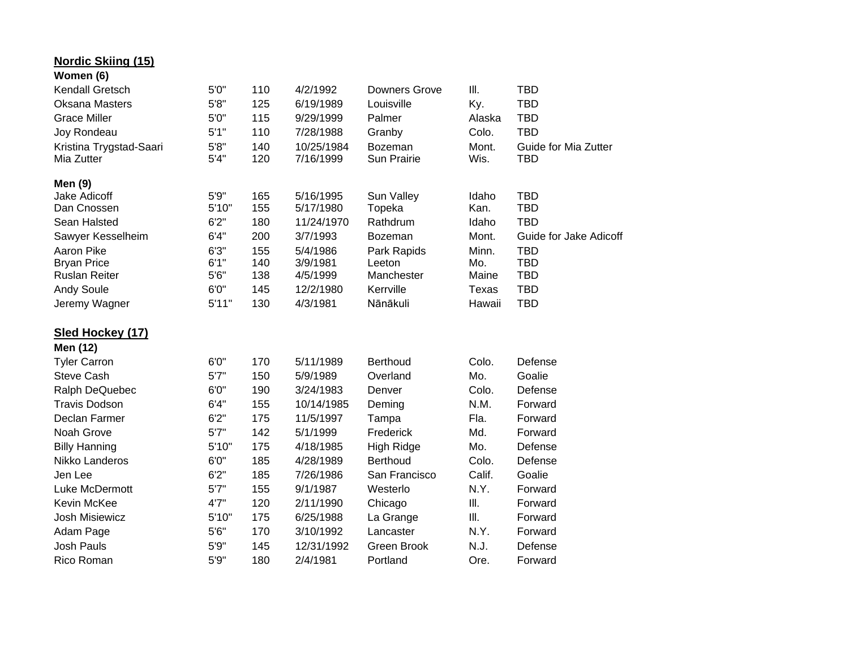| <b>Nordic Skiing (15)</b> |        |     |            |                      |              |                        |
|---------------------------|--------|-----|------------|----------------------|--------------|------------------------|
| Women (6)                 |        |     |            |                      |              |                        |
| Kendall Gretsch           | 5'0''  | 110 | 4/2/1992   | <b>Downers Grove</b> | III.         | <b>TBD</b>             |
| <b>Oksana Masters</b>     | 5'8''  | 125 | 6/19/1989  | Louisville           | Ky.          | <b>TBD</b>             |
| <b>Grace Miller</b>       | 5'0''  | 115 | 9/29/1999  | Palmer               | Alaska       | <b>TBD</b>             |
| Joy Rondeau               | 5'1"   | 110 | 7/28/1988  | Granby               | Colo.        | <b>TBD</b>             |
| Kristina Trygstad-Saari   | 5'8''  | 140 | 10/25/1984 | Bozeman              | Mont.        | Guide for Mia Zutter   |
| Mia Zutter                | 5'4''  | 120 | 7/16/1999  | Sun Prairie          | Wis.         | <b>TBD</b>             |
| <b>Men (9)</b>            |        |     |            |                      |              |                        |
| <b>Jake Adicoff</b>       | $5'9"$ | 165 | 5/16/1995  | Sun Valley           | Idaho        | <b>TBD</b>             |
| Dan Cnossen               | 5'10"  | 155 | 5/17/1980  | Topeka               | Kan.         | <b>TBD</b>             |
| Sean Halsted              | 6'2''  | 180 | 11/24/1970 | Rathdrum             | Idaho        | <b>TBD</b>             |
| Sawyer Kesselheim         | 6'4''  | 200 | 3/7/1993   | Bozeman              | Mont.        | Guide for Jake Adicoff |
| Aaron Pike                | 6'3''  | 155 | 5/4/1986   | Park Rapids          | Minn.        | <b>TBD</b>             |
| <b>Bryan Price</b>        | 6'1''  | 140 | 3/9/1981   | Leeton               | Mo.          | <b>TBD</b>             |
| <b>Ruslan Reiter</b>      | 5'6''  | 138 | 4/5/1999   | Manchester           | Maine        | <b>TBD</b>             |
| <b>Andy Soule</b>         | 6'0"   | 145 | 12/2/1980  | Kerrville            | <b>Texas</b> | <b>TBD</b>             |
| Jeremy Wagner             | 5'11"  | 130 | 4/3/1981   | Nānākuli             | Hawaii       | <b>TBD</b>             |
| Sled Hockey (17)          |        |     |            |                      |              |                        |
| Men (12)                  |        |     |            |                      |              |                        |
| <b>Tyler Carron</b>       | 6'0''  | 170 | 5/11/1989  | Berthoud             | Colo.        | Defense                |
| <b>Steve Cash</b>         | 5'7''  | 150 | 5/9/1989   | Overland             | Mo.          | Goalie                 |
| Ralph DeQuebec            | 6'0''  | 190 | 3/24/1983  | Denver               | Colo.        | Defense                |
| <b>Travis Dodson</b>      | 6'4''  | 155 | 10/14/1985 | Deming               | N.M.         | Forward                |
| Declan Farmer             | 6'2''  | 175 | 11/5/1997  | Tampa                | Fla.         | Forward                |
| Noah Grove                | 5'7''  | 142 | 5/1/1999   | Frederick            | Md.          | Forward                |
| <b>Billy Hanning</b>      | 5'10"  | 175 | 4/18/1985  | High Ridge           | Mo.          | Defense                |
| Nikko Landeros            | 6'0''  | 185 | 4/28/1989  | <b>Berthoud</b>      | Colo.        | Defense                |
| Jen Lee                   | 6'2''  | 185 | 7/26/1986  | San Francisco        | Calif.       | Goalie                 |
| Luke McDermott            | 5'7''  | 155 | 9/1/1987   | Westerlo             | N.Y.         | Forward                |
| Kevin McKee               | 4'7"   | 120 | 2/11/1990  | Chicago              | Ш.           | Forward                |
| <b>Josh Misiewicz</b>     | 5'10"  | 175 | 6/25/1988  | La Grange            | Ш.           | Forward                |
| Adam Page                 | 5'6''  | 170 | 3/10/1992  | Lancaster            | N.Y.         | Forward                |
| <b>Josh Pauls</b>         | 5'9''  | 145 | 12/31/1992 | <b>Green Brook</b>   | N.J.         | Defense                |
| Rico Roman                | 5'9''  | 180 | 2/4/1981   | Portland             | Ore.         | Forward                |